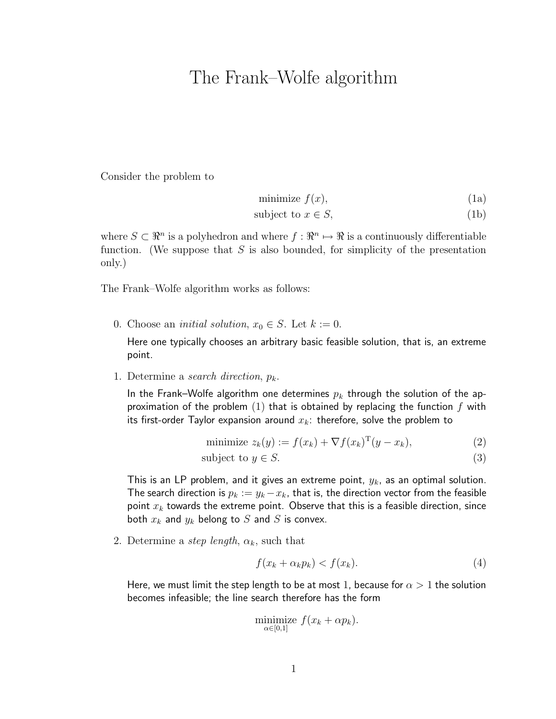## The Frank–Wolfe algorithm

Consider the problem to

minimize  $f(x)$ , (1a)

$$
subject to x \in S,
$$
\n<sup>(1b)</sup>

where  $S \subset \mathbb{R}^n$  is a polyhedron and where  $f : \mathbb{R}^n \to \mathbb{R}$  is a continuously differentiable function. (We suppose that  $S$  is also bounded, for simplicity of the presentation only.)

The Frank–Wolfe algorithm works as follows:

0. Choose an *initial solution*,  $x_0 \in S$ . Let  $k := 0$ .

Here one typically chooses an arbitrary basic feasible solution, that is, an extreme point.

1. Determine a search direction,  $p_k$ .

In the Frank–Wolfe algorithm one determines  $p_k$  through the solution of the approximation of the problem  $(1)$  that is obtained by replacing the function  $f$  with its first-order Taylor expansion around  $x_k$ : therefore, solve the problem to

$$
\text{minimize } z_k(y) := f(x_k) + \nabla f(x_k)^{\mathrm{T}} (y - x_k),\tag{2}
$$

$$
subject to y \in S. \tag{3}
$$

This is an LP problem, and it gives an extreme point,  $y_k$ , as an optimal solution. The search direction is  $p_k := y_k - x_k$ , that is, the direction vector from the feasible point  $x_k$  towards the extreme point. Observe that this is a feasible direction, since both  $x_k$  and  $y_k$  belong to S and S is convex.

2. Determine a step length,  $\alpha_k$ , such that

$$
f(x_k + \alpha_k p_k) < f(x_k). \tag{4}
$$

Here, we must limit the step length to be at most 1, because for  $\alpha > 1$  the solution becomes infeasible; the line search therefore has the form

$$
\underset{\alpha\in[0,1]}{\text{minimize}}\ f(x_k+\alpha p_k).
$$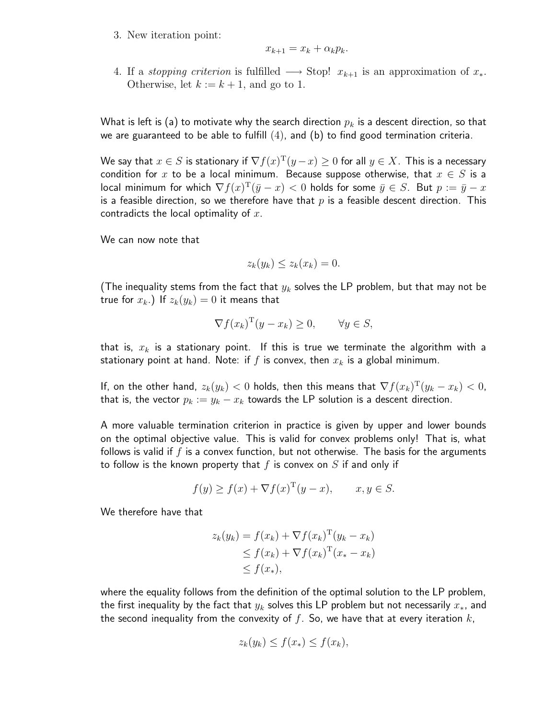3. New iteration point:

$$
x_{k+1} = x_k + \alpha_k p_k.
$$

4. If a *stopping criterion* is fulfilled  $\longrightarrow$  Stop!  $x_{k+1}$  is an approximation of  $x_*$ . Otherwise, let  $k := k + 1$ , and go to 1.

What is left is (a) to motivate why the search direction  $p_k$  is a descent direction, so that we are guaranteed to be able to fulfill  $(4)$ , and  $(b)$  to find good termination criteria.

We say that  $x\in S$  is stationary if  $\nabla f(x)^\mathrm{T}(y-x)\geq 0$  for all  $y\in X.$  This is a necessary condition for x to be a local minimum. Because suppose otherwise, that  $x \in S$  is a local minimum for which  $\nabla f(x)^\mathrm{T}(\bar{y}-x) < 0$  holds for some  $\bar{y}\in S.$  But  $p:=\bar{y}-x$ is a feasible direction, so we therefore have that  $p$  is a feasible descent direction. This contradicts the local optimality of  $x$ .

We can now note that

$$
z_k(y_k) \le z_k(x_k) = 0.
$$

(The inequality stems from the fact that  $y_k$  solves the LP problem, but that may not be true for  $x_k$ .) If  $z_k(y_k) = 0$  it means that

$$
\nabla f(x_k)^{\mathrm{T}}(y - x_k) \ge 0, \quad \forall y \in S,
$$

that is,  $x_k$  is a stationary point. If this is true we terminate the algorithm with a stationary point at hand. Note: if f is convex, then  $x_k$  is a global minimum.

If, on the other hand,  $z_k(y_k) < 0$  holds, then this means that  $\nabla f(x_k)^{\mathrm{T}}(y_k-x_k) < 0$ , that is, the vector  $p_k := y_k - x_k$  towards the LP solution is a descent direction.

A more valuable termination criterion in practice is given by upper and lower bounds on the optimal objective value. This is valid for convex problems only! That is, what follows is valid if f is a convex function, but not otherwise. The basis for the arguments to follow is the known property that  $f$  is convex on  $S$  if and only if

$$
f(y) \ge f(x) + \nabla f(x)^{\mathrm{T}}(y - x), \qquad x, y \in S.
$$

We therefore have that

$$
z_k(y_k) = f(x_k) + \nabla f(x_k)^{\mathrm{T}}(y_k - x_k)
$$
  
\n
$$
\leq f(x_k) + \nabla f(x_k)^{\mathrm{T}}(x_* - x_k)
$$
  
\n
$$
\leq f(x_*)
$$

where the equality follows from the definition of the optimal solution to the LP problem, the first inequality by the fact that  $y_k$  solves this LP problem but not necessarily  $x_*,$  and the second inequality from the convexity of  $f$ . So, we have that at every iteration  $k$ ,

$$
z_k(y_k) \le f(x_*) \le f(x_k),
$$